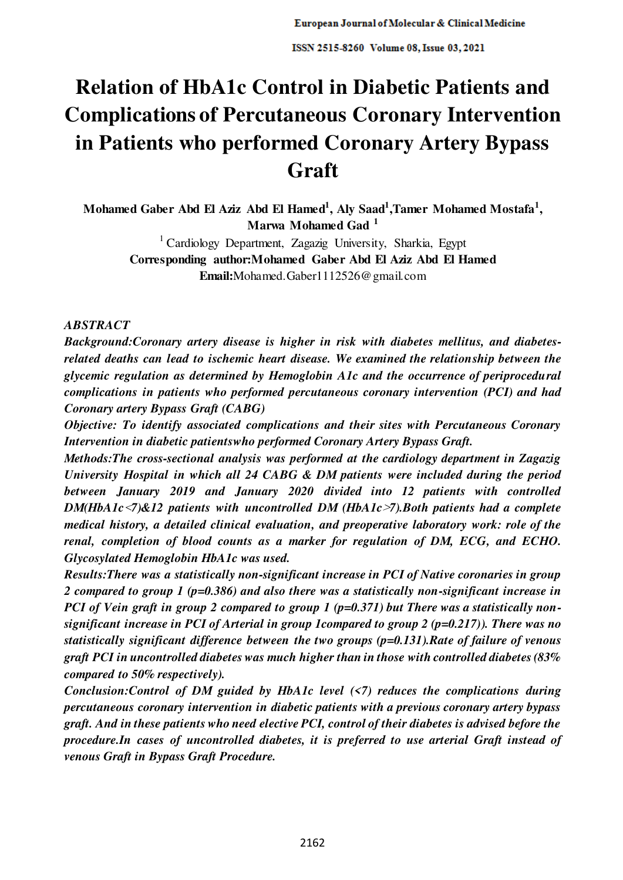# **Relation of HbA1c Control in Diabetic Patients and Complications of Percutaneous Coronary Intervention in Patients who performed Coronary Artery Bypass Graft**

**Mohamed Gaber Abd El Aziz Abd El Hamed<sup>1</sup> , Aly Saad<sup>1</sup> ,Tamer Mohamed Mostafa<sup>1</sup> , Marwa Mohamed Gad <sup>1</sup>**

> <sup>1</sup> Cardiology Department, Zagazig University, Sharkia, Egypt **Corresponding author:Mohamed Gaber Abd El Aziz Abd El Hamed Email:**Mohamed.Gaber1112526@gmail.com

## *ABSTRACT*

*Background:Coronary artery disease is higher in risk with diabetes mellitus, and diabetesrelated deaths can lead to ischemic heart disease. We examined the relationship between the glycemic regulation as determined by Hemoglobin A1c and the occurrence of periprocedural complications in patients who performed percutaneous coronary intervention (PCI) and had Coronary artery Bypass Graft (CABG)* 

*Objective: To identify associated complications and their sites with Percutaneous Coronary Intervention in diabetic patientswho performed Coronary Artery Bypass Graft.* 

*Methods:The cross-sectional analysis was performed at the cardiology department in Zagazig University Hospital in which all 24 CABG & DM patients were included during the period between January 2019 and January 2020 divided into 12 patients with controlled DM(HbA1c*>*7)&12 patients with uncontrolled DM (HbA1c*<*7).Both patients had a complete medical history, a detailed clinical evaluation, and preoperative laboratory work: role of the renal, completion of blood counts as a marker for regulation of DM, ECG, and ECHO. Glycosylated Hemoglobin HbA1c was used.* 

*Results:There was a statistically non-significant increase in PCI of Native coronaries in group 2 compared to group 1 (p=0.386) and also there was a statistically non-significant increase in PCI of Vein graft in group 2 compared to group 1 (p=0.371) but There was a statistically nonsignificant increase in PCI of Arterial in group 1compared to group 2 (p=0.217)). There was no statistically significant difference between the two groups (p=0.131).Rate of failure of venous graft PCI in uncontrolled diabetes was much higher than in those with controlled diabetes (83% compared to 50% respectively).* 

*Conclusion:Control of DM guided by HbA1c level (<7) reduces the complications during percutaneous coronary intervention in diabetic patients with a previous coronary artery bypass graft. And in these patients who need elective PCI, control of their diabetes is advised before the procedure.In cases of uncontrolled diabetes, it is preferred to use arterial Graft instead of venous Graft in Bypass Graft Procedure.*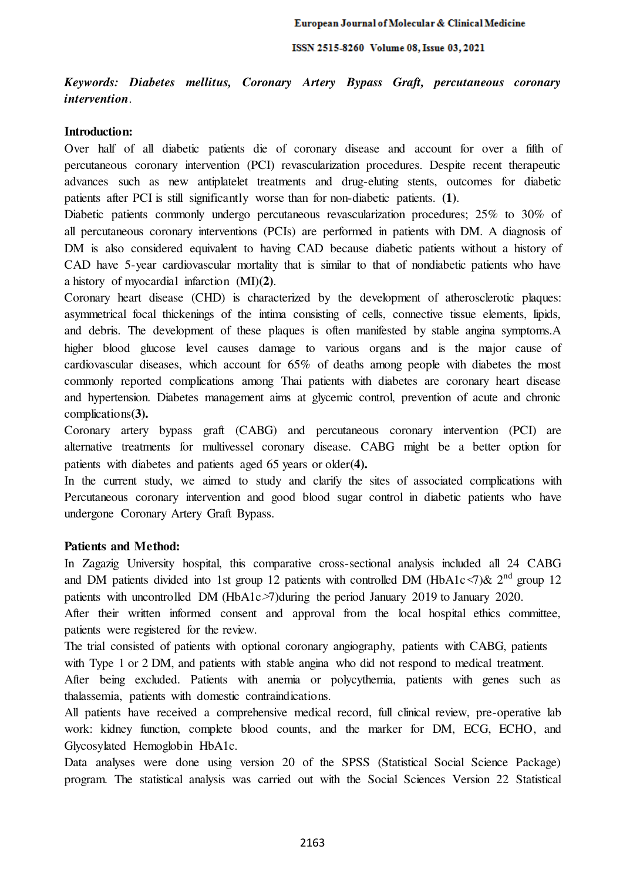*Keywords: Diabetes mellitus, Coronary Artery Bypass Graft, percutaneous coronary intervention*.

#### **Introduction:**

Over half of all diabetic patients die of coronary disease and account for over a fifth of percutaneous coronary intervention (PCI) revascularization procedures. Despite recent therapeutic advances such as new antiplatelet treatments and drug-eluting stents, outcomes for diabetic patients after PCI is still significantly worse than for non-diabetic patients. **(1)**.

Diabetic patients commonly undergo percutaneous revascularization procedures; 25% to 30% of all percutaneous coronary interventions (PCIs) are performed in patients with DM. A diagnosis of DM is also considered equivalent to having CAD because diabetic patients without a history of CAD have 5-year cardiovascular mortality that is similar to that of nondiabetic patients who have a history of myocardial infarction (MI)**(2)**.

Coronary heart disease (CHD) is characterized by the development of atherosclerotic plaques: asymmetrical focal thickenings of the intima consisting of cells, connective tissue elements, lipids, and debris. The development of these plaques is often manifested by stable angina symptoms.A higher blood glucose level causes damage to various organs and is the major cause of cardiovascular diseases, which account for 65% of deaths among people with diabetes the most commonly reported complications among Thai patients with diabetes are coronary heart disease and hypertension. Diabetes management aims at glycemic control, prevention of acute and chronic complications**(3).** 

Coronary artery bypass graft (CABG) and percutaneous coronary intervention (PCI) are alternative treatments for multivessel coronary disease. CABG might be a better option for patients with diabetes and patients aged 65 years or older**(4).**

In the current study, we aimed to study and clarify the sites of associated complications with Percutaneous coronary intervention and good blood sugar control in diabetic patients who have undergone Coronary Artery Graft Bypass.

## **Patients and Method:**

In Zagazig University hospital, this comparative cross-sectional analysis included all 24 CABG and DM patients divided into 1st group 12 patients with controlled DM (HbA1c $\leq$ 7)& 2<sup>nd</sup> group 12 patients with uncontrolled DM (HbA1c>7)during the period January 2019 to January 2020.

After their written informed consent and approval from the local hospital ethics committee, patients were registered for the review.

The trial consisted of patients with optional coronary angiography, patients with CABG, patients with Type 1 or 2 DM, and patients with stable angina who did not respond to medical treatment.

After being excluded. Patients with anemia or polycythemia, patients with genes such as thalassemia, patients with domestic contraindications.

All patients have received a comprehensive medical record, full clinical review, pre-operative lab work: kidney function, complete blood counts, and the marker for DM, ECG, ECHO, and Glycosylated Hemoglobin HbA1c.

Data analyses were done using version 20 of the SPSS (Statistical Social Science Package) program. The statistical analysis was carried out with the Social Sciences Version 22 Statistical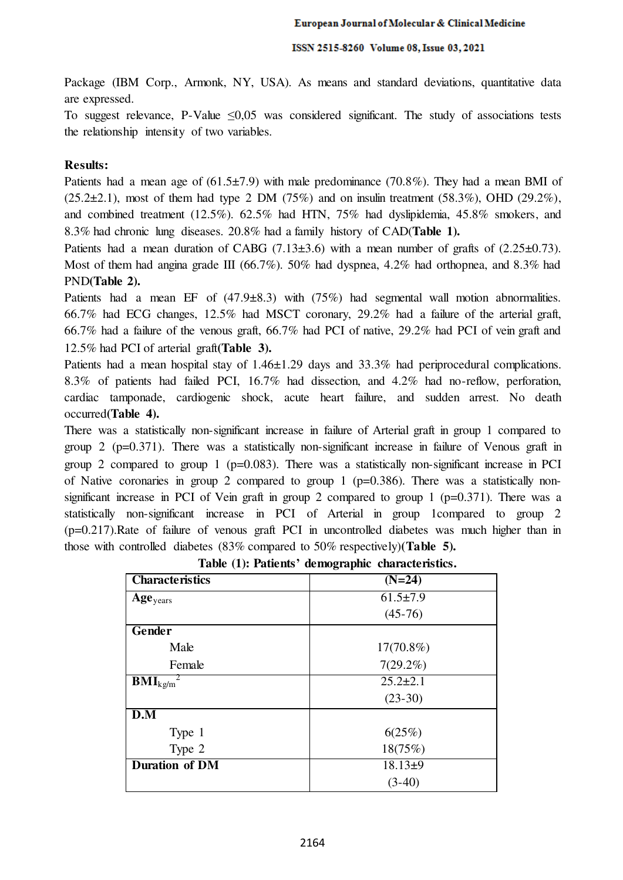Package (IBM Corp., Armonk, NY, USA). As means and standard deviations, quantitative data are expressed.

To suggest relevance, P-Value  $\leq 0.05$  was considered significant. The study of associations tests the relationship intensity of two variables.

## **Results:**

Patients had a mean age of  $(61.5\pm7.9)$  with male predominance  $(70.8\%)$ . They had a mean BMI of  $(25.2\pm 2.1)$ , most of them had type 2 DM  $(75%)$  and on insulin treatment  $(58.3%)$ , OHD  $(29.2%)$ , and combined treatment (12.5%). 62.5% had HTN, 75% had dyslipidemia, 45.8% smokers, and 8.3% had chronic lung diseases. 20.8% had a family history of CAD(**Table 1).**

Patients had a mean duration of CABG  $(7.13\pm3.6)$  with a mean number of grafts of  $(2.25\pm0.73)$ . Most of them had angina grade III (66.7%). 50% had dyspnea, 4.2% had orthopnea, and 8.3% had PND**(Table 2).**

Patients had a mean EF of (47.9±8.3) with (75%) had segmental wall motion abnormalities. 66.7% had ECG changes, 12.5% had MSCT coronary, 29.2% had a failure of the arterial graft, 66.7% had a failure of the venous graft, 66.7% had PCI of native, 29.2% had PCI of vein graft and 12.5% had PCI of arterial graft**(Table 3).**

Patients had a mean hospital stay of 1.46±1.29 days and 33.3% had periprocedural complications. 8.3% of patients had failed PCI, 16.7% had dissection, and 4.2% had no-reflow, perforation, cardiac tamponade, cardiogenic shock, acute heart failure, and sudden arrest. No death occurred**(Table 4).**

There was a statistically non-significant increase in failure of Arterial graft in group 1 compared to group 2 ( $p=0.371$ ). There was a statistically non-significant increase in failure of Venous graft in group 2 compared to group 1 ( $p=0.083$ ). There was a statistically non-significant increase in PCI of Native coronaries in group 2 compared to group 1 ( $p=0.386$ ). There was a statistically nonsignificant increase in PCI of Vein graft in group 2 compared to group 1 ( $p=0.371$ ). There was a statistically non-significant increase in PCI of Arterial in group 1compared to group 2 (p=0.217).Rate of failure of venous graft PCI in uncontrolled diabetes was much higher than in those with controlled diabetes (83% compared to 50% respectively)**(Table 5).**

| <b>Characteristics</b>         | $(N=24)$       |  |  |
|--------------------------------|----------------|--|--|
| Age <sub>years</sub>           | $61.5 \pm 7.9$ |  |  |
|                                | $(45-76)$      |  |  |
| Gender                         |                |  |  |
| Male                           | 17(70.8%)      |  |  |
| Female                         | $7(29.2\%)$    |  |  |
| $\textbf{BMI}_{\text{kg/m}}^2$ | $25.2 \pm 2.1$ |  |  |
|                                | $(23-30)$      |  |  |
| D.M                            |                |  |  |
| Type 1                         | 6(25%)         |  |  |
| Type 2                         | 18(75%)        |  |  |
| Duration of DM                 | $18.13+9$      |  |  |
|                                | $(3-40)$       |  |  |

**Table (1): Patients' demographic characteristics.**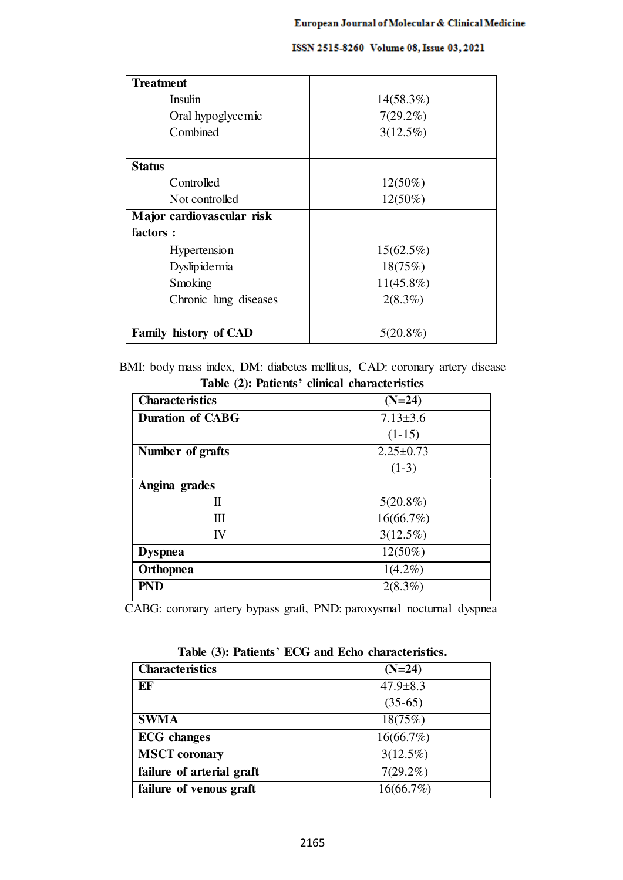| Treatment                    |              |  |  |
|------------------------------|--------------|--|--|
| <b>Insulin</b>               | 14(58.3%)    |  |  |
| Oral hypoglycemic            | $7(29.2\%)$  |  |  |
| Combined                     | $3(12.5\%)$  |  |  |
| <b>Status</b>                |              |  |  |
|                              |              |  |  |
| Controlled                   | $12(50\%)$   |  |  |
| Not controlled               | $12(50\%)$   |  |  |
| Major cardiovascular risk    |              |  |  |
| factors :                    |              |  |  |
| Hypertension                 | $15(62.5\%)$ |  |  |
| Dyslipidemia                 | 18(75%)      |  |  |
| Smoking                      | $11(45.8\%)$ |  |  |
| Chronic lung diseases        | $2(8.3\%)$   |  |  |
| <b>Family history of CAD</b> | $5(20.8\%)$  |  |  |

BMI: body mass index, DM: diabetes mellitus, CAD: coronary artery disease **Table (2): Patients' clinical characteristics** 

| <b>Characteristics</b>  | $(N=24)$        |  |  |
|-------------------------|-----------------|--|--|
| <b>Duration of CABG</b> | $7.13 \pm 3.6$  |  |  |
|                         | $(1-15)$        |  |  |
| Number of grafts        | $2.25 \pm 0.73$ |  |  |
|                         | $(1-3)$         |  |  |
| Angina grades           |                 |  |  |
| П                       | $5(20.8\%)$     |  |  |
| Ш                       | 16(66.7%)       |  |  |
| IV                      | $3(12.5\%)$     |  |  |
| <b>Dyspnea</b>          | $12(50\%)$      |  |  |
| <b>Orthopnea</b>        | $1(4.2\%)$      |  |  |
| <b>PND</b>              | $2(8.3\%)$      |  |  |

CABG: coronary artery bypass graft, PND: paroxysmal nocturnal dyspnea

**Table (3): Patients' ECG and Echo characteristics.** 

| <b>Characteristics</b>    | $(N=24)$       |  |  |
|---------------------------|----------------|--|--|
| EF                        | $47.9 \pm 8.3$ |  |  |
|                           | $(35-65)$      |  |  |
| <b>SWMA</b>               | 18(75%)        |  |  |
| <b>ECG</b> changes        | 16(66.7%)      |  |  |
| <b>MSCT</b> coronary      | $3(12.5\%)$    |  |  |
| failure of arterial graft | $7(29.2\%)$    |  |  |
| failure of venous graft   | 16(66.7%)      |  |  |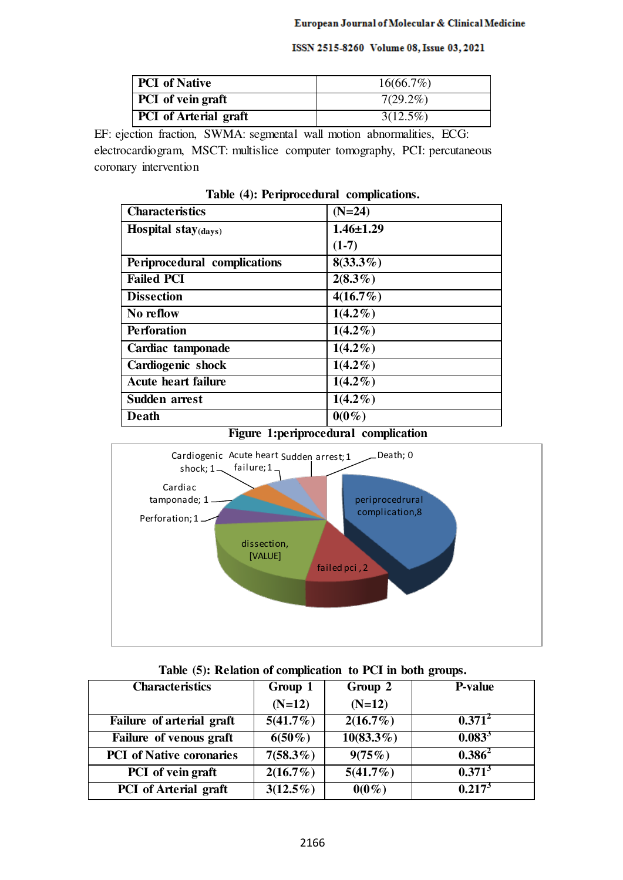| <b>PCI</b> of Native         | $16(66.7\%)$ |  |
|------------------------------|--------------|--|
| <b>PCI</b> of vein graft     | $7(29.2\%)$  |  |
| <b>PCI</b> of Arterial graft | $3(12.5\%)$  |  |

EF: ejection fraction, SWMA: segmental wall motion abnormalities, ECG: electrocardiogram, MSCT: multislice computer tomography, PCI: percutaneous coronary intervention

| <b>Characteristics</b>           | $(N=24)$        |
|----------------------------------|-----------------|
| Hospital stay $_{\text{(days)}}$ | $1.46 \pm 1.29$ |
|                                  | $(1-7)$         |
| Periprocedural complications     | $8(33.3\%)$     |
| <b>Failed PCI</b>                | $2(8.3\%)$      |
| <b>Dissection</b>                | $4(16.7\%)$     |
| No reflow                        | $1(4.2\%)$      |
| <b>Perforation</b>               | $1(4.2\%)$      |
| Cardiac tamponade                | $1(4.2\%)$      |
| Cardiogenic shock                | $1(4.2\%)$      |
| <b>Acute heart failure</b>       | $1(4.2\%)$      |
| Sudden arrest                    | $1(4.2\%)$      |
| Death                            | $0(0\%)$        |

# **Table (4): Periprocedural complications.**

# **Figure 1:periprocedural complication**



| <b>Characteristics</b>          | Group 1     | Group 2      | <b>P-value</b> |
|---------------------------------|-------------|--------------|----------------|
|                                 | $(N=12)$    | $(N=12)$     |                |
| Failure of arterial graft       | $5(41.7\%)$ | 2(16.7%)     | $0.371^2$      |
| Failure of venous graft         | $6(50\%)$   | $10(83.3\%)$ | $0.083^{3}$    |
| <b>PCI</b> of Native coronaries | $7(58.3\%)$ | 9(75%)       | $0.386^2$      |
| PCI of vein graft               | $2(16.7\%)$ | $5(41.7\%)$  | $0.371^{3}$    |
| <b>PCI</b> of Arterial graft    | $3(12.5\%)$ | $0(0\%)$     | $0.217^3$      |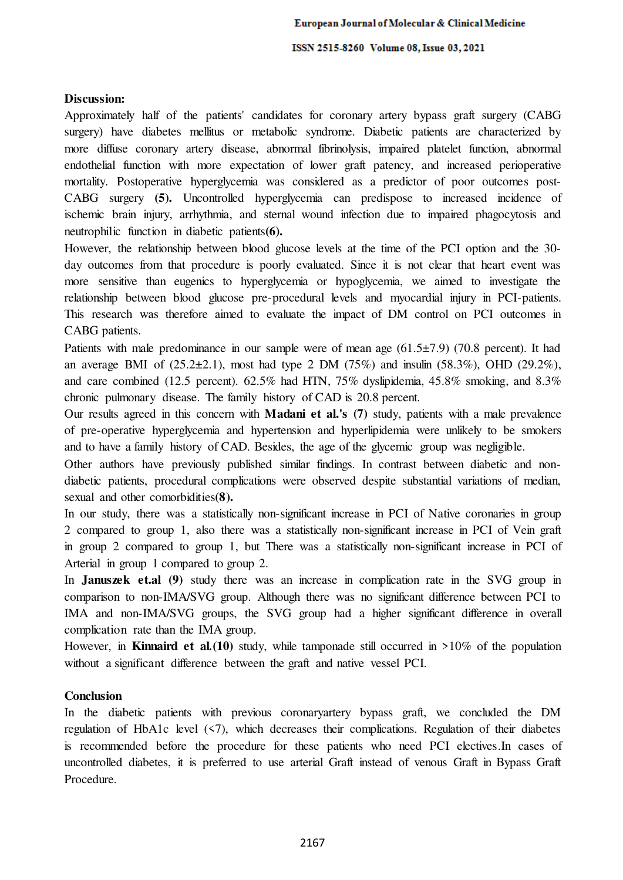# **Discussion:**

Approximately half of the patients' candidates for coronary artery bypass graft surgery (CABG surgery) have diabetes mellitus or metabolic syndrome. Diabetic patients are characterized by more diffuse coronary artery disease, abnormal fibrinolysis, impaired platelet function, abnormal endothelial function with more expectation of lower graft patency, and increased perioperative mortality. Postoperative hyperglycemia was considered as a predictor of poor outcomes post-CABG surgery **(5).** Uncontrolled hyperglycemia can predispose to increased incidence of ischemic brain injury, arrhythmia, and sternal wound infection due to impaired phagocytosis and neutrophilic function in diabetic patients**(6).** 

However, the relationship between blood glucose levels at the time of the PCI option and the 30 day outcomes from that procedure is poorly evaluated. Since it is not clear that heart event was more sensitive than eugenics to hyperglycemia or hypoglycemia, we aimed to investigate the relationship between blood glucose pre-procedural levels and myocardial injury in PCI-patients. This research was therefore aimed to evaluate the impact of DM control on PCI outcomes in CABG patients.

Patients with male predominance in our sample were of mean age (61.5±7.9) (70.8 percent). It had an average BMI of  $(25.2\pm2.1)$ , most had type 2 DM  $(75%)$  and insulin  $(58.3%)$ , OHD  $(29.2%)$ , and care combined (12.5 percent). 62.5% had HTN, 75% dyslipidemia, 45.8% smoking, and 8.3% chronic pulmonary disease. The family history of CAD is 20.8 percent.

Our results agreed in this concern with **Madani et al.'s (7)** study, patients with a male prevalence of pre-operative hyperglycemia and hypertension and hyperlipidemia were unlikely to be smokers and to have a family history of CAD. Besides, the age of the glycemic group was negligible.

Other authors have previously published similar findings. In contrast between diabetic and nondiabetic patients, procedural complications were observed despite substantial variations of median, sexual and other comorbidities**(8).**

In our study, there was a statistically non-significant increase in PCI of Native coronaries in group 2 compared to group 1, also there was a statistically non-significant increase in PCI of Vein graft in group 2 compared to group 1, but There was a statistically non-significant increase in PCI of Arterial in group 1 compared to group 2.

In **Januszek et.al (9)** study there was an increase in complication rate in the SVG group in comparison to non-IMA/SVG group. Although there was no significant difference between PCI to IMA and non-IMA/SVG groups, the SVG group had a higher significant difference in overall complication rate than the IMA group.

However, in **Kinnaird et al***.***(10)** study, while tamponade still occurred in >10% of the population without a significant difference between the graft and native vessel PCI.

# **Conclusion**

In the diabetic patients with previous coronaryartery bypass graft, we concluded the DM regulation of HbA1c level  $(57)$ , which decreases their complications. Regulation of their diabetes is recommended before the procedure for these patients who need PCI electives.In cases of uncontrolled diabetes, it is preferred to use arterial Graft instead of venous Graft in Bypass Graft Procedure.